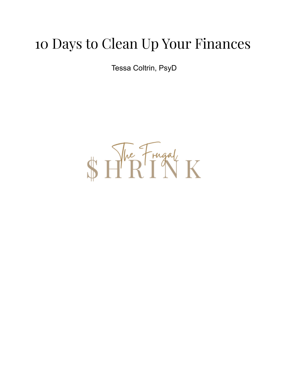# 10 Days to Clean Up Your Finances

Tessa Coltrin, PsyD

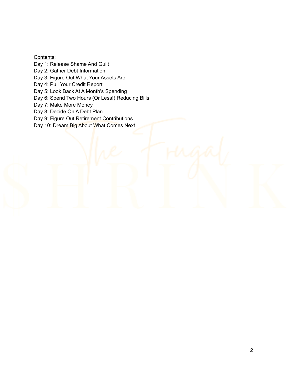Contents:

Day 1: Release Shame And Guilt

Day 2: Gather Debt Information

Day 3: Figure Out What Your Assets Are

Day 4: Pull Your Credit Report

Day 5: Look Back At A Month's Spending

Day 6: Spend Two Hours (Or Less!) Reducing Bills

Day 7: Make More Money

Day 8: Decide On A Debt Plan

Day 9: Figure Out Retirement Contributions

Day 10: Dream Big About What Comes Next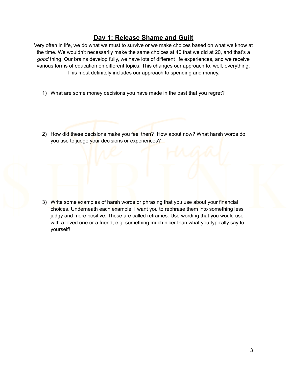#### **Day 1: Release Shame and Guilt**

Very often in life, we do what we must to survive or we make choices based on what we know at the time. We wouldn't necessarily make the same choices at 40 that we did at 20, and that's a *good* thing. Our brains develop fully, we have lots of different life experiences, and we receive various forms of education on different topics. This changes our approach to, well, everything. This most definitely includes our approach to spending and money.

- 1) What are some money decisions you have made in the past that you regret?
- 2) How did these decisions make you feel then? How about now? What harsh words do you use to judge your decisions or experiences?

3) Write some examples of harsh words or phrasing that you use about your financial choices. Underneath each example, I want you to rephrase them into something less judgy and more positive. These are called reframes. Use wording that you would use with a loved one or a friend, e.g. something much nicer than what you typically say to yourself!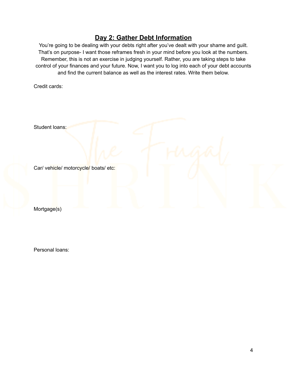## **Day 2: Gather Debt Information**

You're going to be dealing with your debts right after you've dealt with your shame and guilt. That's on purpose- I want those reframes fresh in your mind before you look at the numbers. Remember, this is not an exercise in judging yourself. Rather, you are taking steps to take control of your finances and your future. Now, I want you to log into each of your debt accounts and find the current balance as well as the interest rates. Write them below.

Credit cards:

Student loans:

Car/ vehicle/ motorcycle/ boats/ etc:

Mortgage(s)

Personal loans: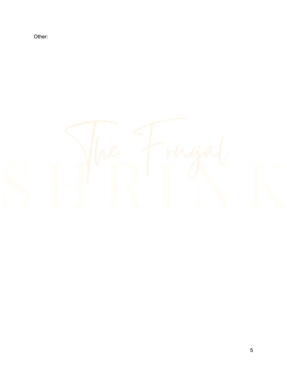Other:

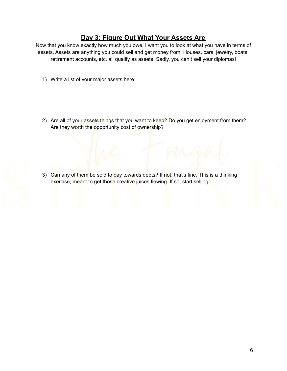## **Day 3: Figure Out What Your Assets Are**

Now that you know exactly how much you owe, I want you to look at what you have in terms of assets. Assets are anything you could sell and get money from. Houses, cars, jewelry, boats, retirement accounts, etc. all qualify as assets. Sadly, you can't sell your diplomas!

- 1) Write a list of your major assets here:
- 2) Are all of your assets things that you want to keep? Do you get enjoyment from them? Are they worth the opportunity cost of ownership?

3) Can any of them be sold to pay towards debts? If not, that's fine. This is a thinking exercise, meant to get those creative juices flowing. If so, start selling.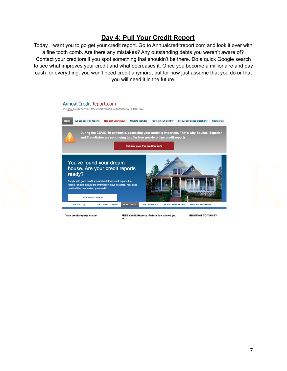## **Day 4: Pull Your Credit Report**

Today, I want you to go get your credit report. Go to Annualcreditreport.com and look it over with a fine tooth comb. Are there any mistakes? Any outstanding debts you weren't aware of? Contact your creditors if you spot something that shouldn't be there. Do a quick Google search to see what improves your credit and what decreases it. Once you become a millionaire and pay cash for everything, you won't need credit anymore, but for now just assume that you do or that you will need it in the future.



Your credit reports matter.

FREE Credit Reports. Federal law allows you  $for$ 

**BROUGHT TO YOU BY**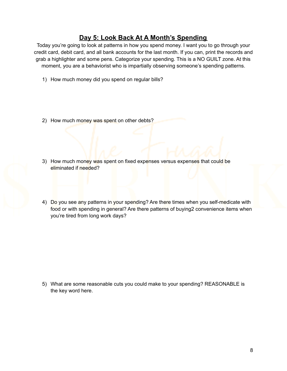# **Day 5: Look Back At A Month's Spending**

Today you're going to look at patterns in how you spend money. I want you to go through your credit card, debit card, and all bank accounts for the last month. If you can, print the records and grab a highlighter and some pens. Categorize your spending. This is a NO GUILT zone. At this moment, you are a behaviorist who is impartially observing someone's spending patterns.

- 1) How much money did you spend on regular bills?
- 2) How much money was spent on other debts?
- 3) How much money was spent on fixed expenses versus expenses that could be eliminated if needed?
- 4) Do you see any patterns in your spending? Are there times when you self-medicate with food or with spending in general? Are there patterns of buying2 convenience items when you're tired from long work days?

5) What are some reasonable cuts you could make to your spending? REASONABLE is the key word here.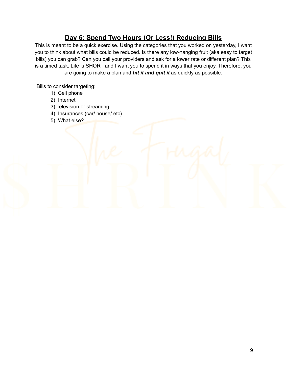# **Day 6: Spend Two Hours (Or Less!) Reducing Bills**

This is meant to be a quick exercise. Using the categories that you worked on yesterday, I want you to think about what bills could be reduced. Is there any low-hanging fruit (aka easy to target bills) you can grab? Can you call your providers and ask for a lower rate or different plan? This is a timed task. Life is SHORT and I want you to spend it in ways that you enjoy. Therefore, you are going to make a plan and *hit it and quit it* as quickly as possible.

Bills to consider targeting:

- 1) Cell phone
- 2) Internet
- 3) Television or streaming
- 4) Insurances (car/ house/ etc)
- 5) What else?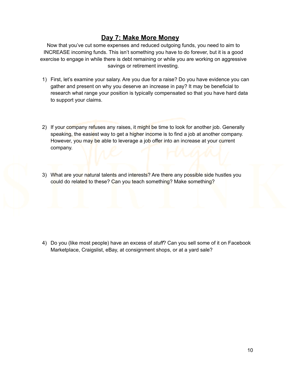#### **Day 7: Make More Money**

Now that you've cut some expenses and reduced outgoing funds, you need to aim to INCREASE incoming funds. This isn't something you have to do forever, but it is a good exercise to engage in while there is debt remaining or while you are working on aggressive savings or retirement investing.

- 1) First, let's examine your salary. Are you due for a raise? Do you have evidence you can gather and present on why you deserve an increase in pay? It may be beneficial to research what range your position is typically compensated so that you have hard data to support your claims.
- 2) If your company refuses any raises, it might be time to look for another job. Generally speaking, the easiest way to get a higher income is to find a job at another company. However, you may be able to leverage a job offer into an increase at your current company.
- 3) What are your natural talents and interests? Are there any possible side hustles you could do related to these? Can you teach something? Make something?

4) Do you (like most people) have an excess of *stuff*? Can you sell some of it on Facebook Marketplace, Craigslist, eBay, at consignment shops, or at a yard sale?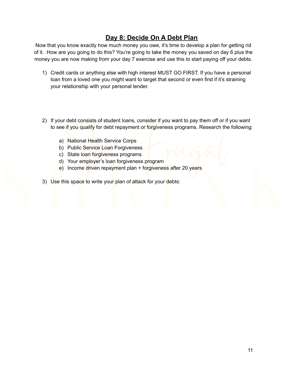## **Day 8: Decide On A Debt Plan**

Now that you know exactly how much money you owe, it's time to develop a plan for getting rid of it. How are you going to do this? You're going to take the money you saved on day 6 plus the money you are now making from your day 7 exercise and use this to start paying off your debts.

- 1) Credit cards or anything else with high interest MUST GO FIRST. If you have a personal loan from a loved one you might want to target that second or even first if it's straining your relationship with your personal lender.
- 2) If your debt consists of student loans, consider if you want to pay them off or if you want to see if you qualify for debt repayment or forgiveness programs. Research the following:
	- a) National Health Service Corps
	- b) Public Service Loan Forgiveness
	- c) State loan forgiveness programs
	- d) Your employer's loan forgiveness program
	- e) Income driven repayment plan + forgiveness after 20 years
- 3) Use this space to write your plan of attack for your debts: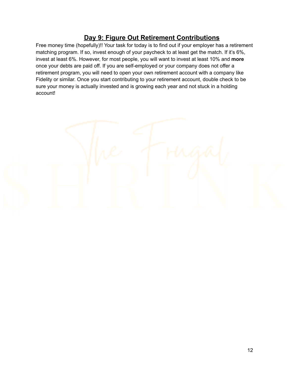## **Day 9: Figure Out Retirement Contributions**

Free money time (hopefully)!! Your task for today is to find out if your employer has a retirement matching program. If so, invest enough of your paycheck to at least get the match. If it's 6%, invest at least 6%. However, for most people, you will want to invest at least 10% and **more** once your debts are paid off. If you are self-employed or your company does not offer a retirement program, you will need to open your own retirement account with a company like Fidelity or similar. Once you start contributing to your retirement account, double check to be sure your money is actually invested and is growing each year and not stuck in a holding account!